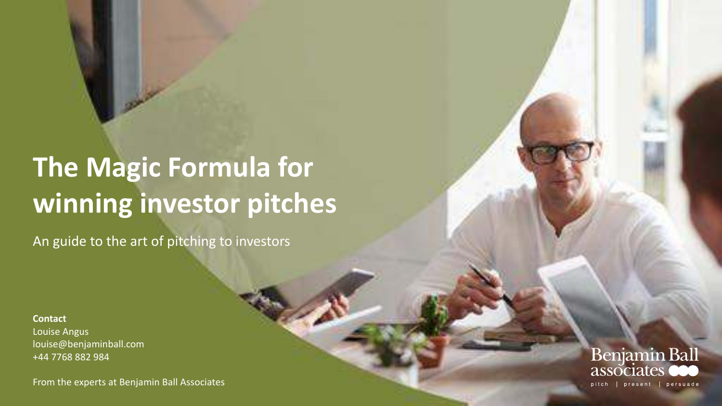# **The Magic Formula for winning investor pitches**

An guide to the art of pitching to investors

**Contact** Louise Angus louise@benjaminball.com +44 7768 882 984

From the experts at Benjamin Ball Associates

**Benjamin Ball** associa pitch | present | persuade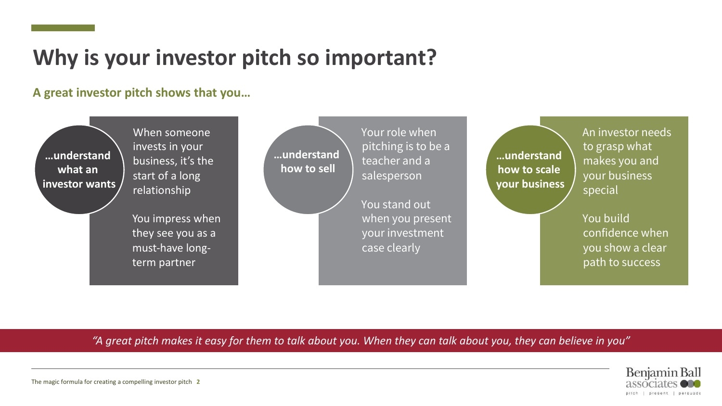### **Why is your investor pitch so important?**

### **A great investor pitch shows that you…**



When someone invests in your business, it's the start of a long relationship

You impress when they see you as a must-have longterm partner

**…understand how to sell**

Your role when pitching is to be a teacher and a salesperson

You stand out when you present your investment case clearly

**…understand how to scale your business** An investor needs to grasp what makes you and your business special

You build confidence when you show a clear path to success

*"A great pitch makes it easy for them to talk about you. When they can talk about you, they can believe in you"*

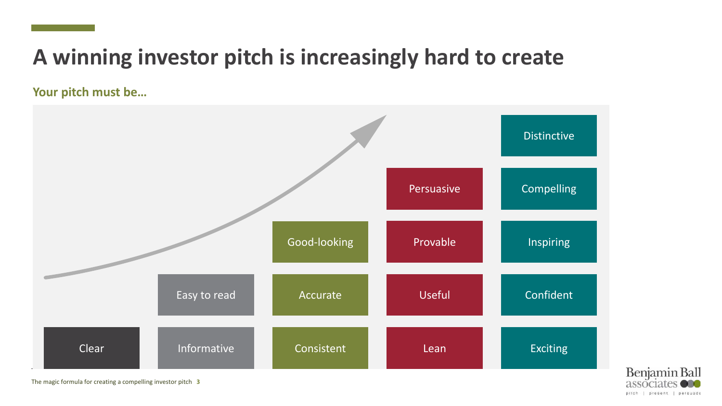# **A winning investor pitch is increasingly hard to create**

**Your pitch must be…**



Benjamin Ball associate pitch | present | persuade

The magic formula for creating a compelling investor pitch **3**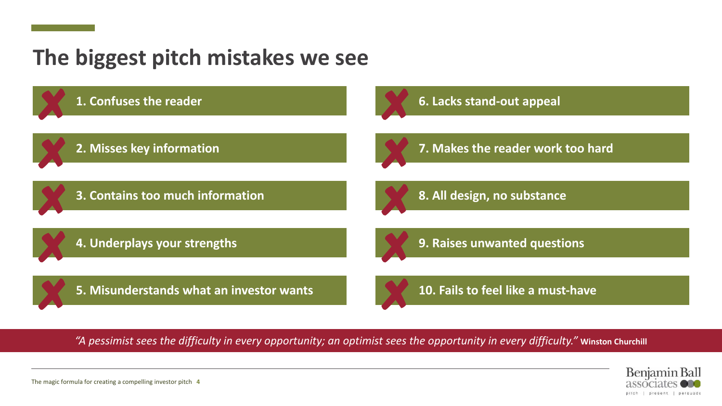### **The biggest pitch mistakes we see**



*"A pessimist sees the difficulty in every opportunity; an optimist sees the opportunity in every difficulty."* **Winston Churchill**

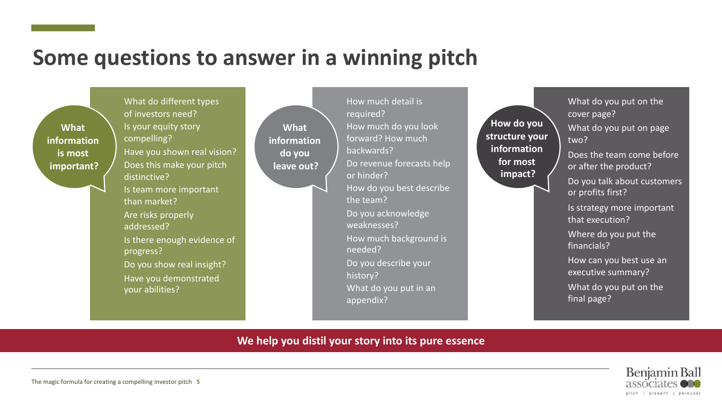### **Some questions to answer in a winning pitch**

**What information is most important?**

What do different types of investors need? Is your equity story compelling? Have you shown real vision? Does this make your pitch distinctive? Is team more important than market? Are risks properly addressed? Is there enough evidence of progress? Do you show real insight? Have you demonstrated your abilities?

**What information do you leave out?**

required? How much do you look forward? How much backwards? Do revenue forecasts help or hinder? How do you best describe the team? Do you acknowledge weaknesses? How much background is needed? Do you describe your history? What do you put in an appendix?

How much detail is

**How do you structure your information for most impact?**

What do you put on the cover page? What do you put on page two?

Does the team come before or after the product?

Do you talk about customers or profits first?

Is strategy more important that execution?

Where do you put the financials?

How can you best use an executive summary?

What do you put on the final page?

#### **We help you distil your story into its pure essence**

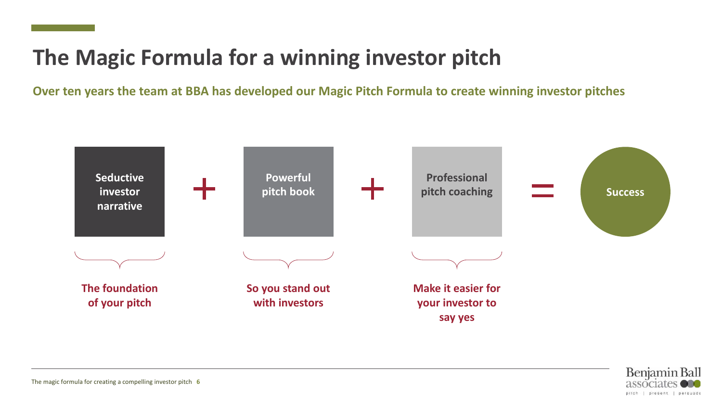# **The Magic Formula for a winning investor pitch**

**Over ten years the team at BBA has developed our Magic Pitch Formula to create winning investor pitches** 



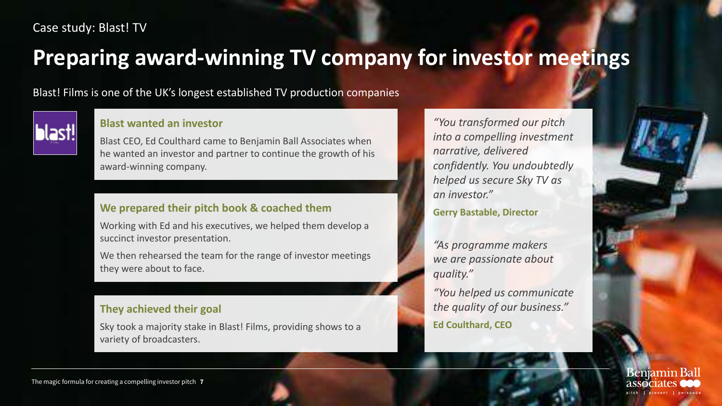#### Case study: Blast! TV

### **Preparing award-winning TV company for investor meetings**

Blast! Films is one of the UK's longest established TV production companies



#### **Blast wanted an investor**

Blast CEO, Ed Coulthard came to Benjamin Ball Associates when he wanted an investor and partner to continue the growth of his award-winning company.

#### **We prepared their pitch book & coached them**

Working with Ed and his executives, we helped them develop a succinct investor presentation.

We then rehearsed the team for the range of investor meetings they were about to face.

#### **They achieved their goal**

Sky took a majority stake in Blast! Films, providing shows to a variety of broadcasters.

*"You transformed our pitch into a compelling investment narrative, delivered confidently. You undoubtedly helped us secure Sky TV as an investor."*

**Gerry Bastable, Director**

*"As programme makers we are passionate about quality."* 

*"You helped us communicate the quality of our business."* **Ed Coulthard, CEO**



The magic formula for creating a compelling investor pitch **7**

**Benjamin Bal**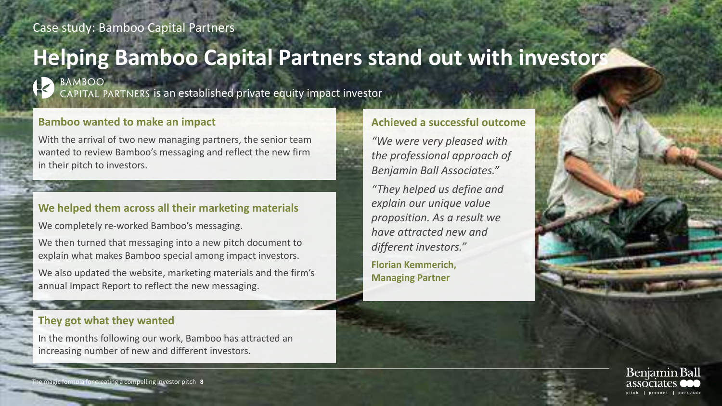### **Helping Bamboo Capital Partners stand out with investors**



BAMBOO

CAPITAL PARTNERS is an established private equity impact investor

#### **Bamboo wanted to make an impact**

With the arrival of two new managing partners, the senior team wanted to review Bamboo's messaging and reflect the new firm in their pitch to investors.

#### **We helped them across all their marketing materials**

We completely re-worked Bamboo's messaging.

We then turned that messaging into a new pitch document to explain what makes Bamboo special among impact investors.

We also updated the website, marketing materials and the firm's annual Impact Report to reflect the new messaging.

#### **They got what they wanted**

In the months following our work, Bamboo has attracted an increasing number of new and different investors.

#### **Achieved a successful outcome**

*"We were very pleased with the professional approach of Benjamin Ball Associates."*

*"They helped us define and explain our unique value proposition. As a result we have attracted new and different investors."*

**Florian Kemmerich, Managing Partner**



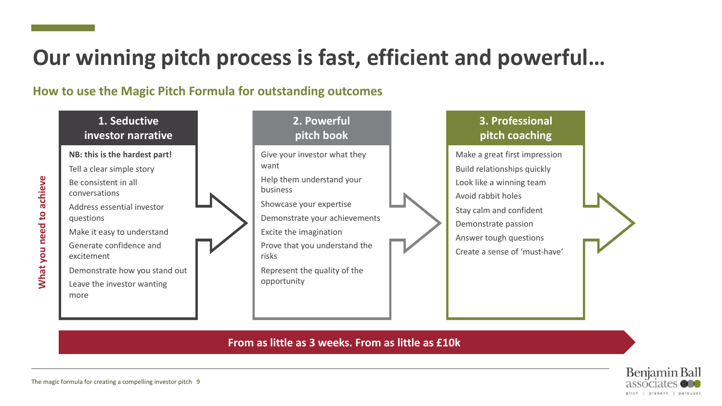# **Our winning pitch process is fast, efficient and powerful…**

### **How to use the Magic Pitch Formula for outstanding outcomes**

#### **1. Seductive investor narrative**

#### **NB: this is the hardest part!**

- Tell a clear simple story Be consistent in all conversations
- Address essential investor questions
- Make it easy to understand Generate confidence and excitement
- Demonstrate how you stand out Leave the investor wanting more



### **3. Professional pitch coaching**

Make a great first impression Build relationships quickly Look like a winning team Avoid rabbit holes Stay calm and confident Demonstrate passion Answer tough questions Create a sense of 'must-have'

**From as little as 3 weeks. From as little as £10k**

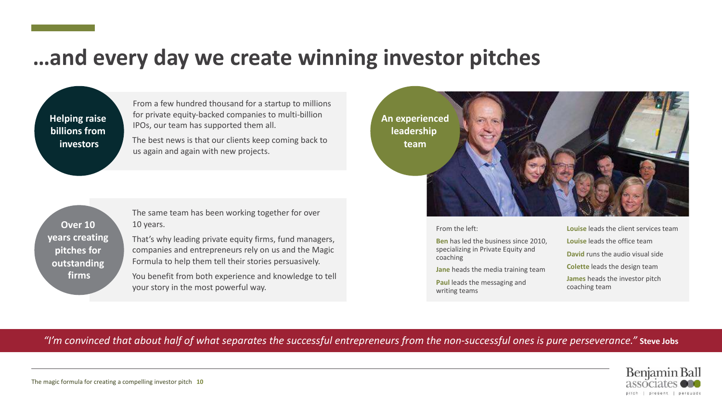### **…and every day we create winning investor pitches**

**Helping raise billions from investors**

From a few hundred thousand for a startup to millions for private equity-backed companies to multi-billion IPOs, our team has supported them all.

The best news is that our clients keep coming back to us again and again with new projects.

**An experienced leadership team**



#### From the left:

**Ben** has led the business since 2010, specializing in Private Equity and coaching

**Jane** heads the media training team

**Paul** leads the messaging and writing teams

**Louise** leads the client services team **Louise** leads the office team **David** runs the audio visual side **Colette** leads the design team **James** heads the investor pitch coaching team

#### *"I'm convinced that about half of what separates the successful entrepreneurs from the non-successful ones is pure perseverance."* **Steve Jobs**



**firms**

**Over 10 years creating pitches for outstanding** 

The same team has been working together for over 10 years.

That's why leading private equity firms, fund managers, companies and entrepreneurs rely on us and the Magic Formula to help them tell their stories persuasively.

You benefit from both experience and knowledge to tell your story in the most powerful way.

The magic formula for creating a compelling investor pitch **10**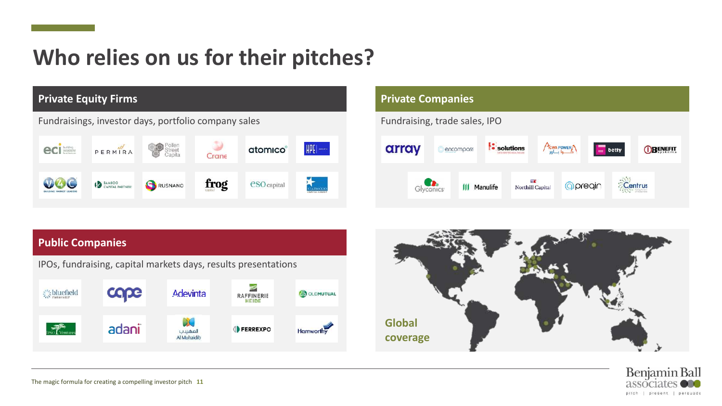# **Who relies on us for their pitches?**



#### **Private Companies** Fundraising, trade sales, IPO Acwa POWER solutions array encompass **OBENEFIT**  $\equiv$  betty Centrus Glyconics<sup>®</sup> 公園 *<u>Opregin</u>* **III** Manulife Northill Capital





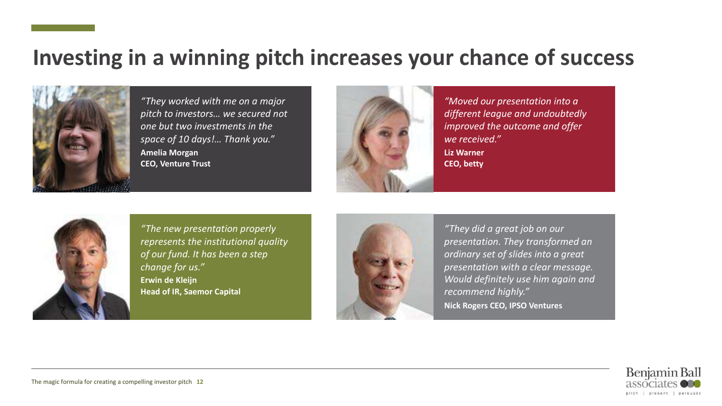### **Investing in a winning pitch increases your chance of success**



*"They worked with me on a major pitch to investors… we secured not one but two investments in the space of 10 days!… Thank you."* **Amelia Morgan CEO, Venture Trust**



*"Moved our presentation into a different league and undoubtedly improved the outcome and offer we received."* **Liz Warner CEO, betty**



*"The new presentation properly represents the institutional quality of our fund. It has been a step change for us."* **Erwin de Kleijn Head of IR, Saemor Capital**



*"They did a great job on our presentation. They transformed an ordinary set of slides into a great presentation with a clear message. Would definitely use him again and recommend highly."* **Nick Rogers CEO, IPSO Ventures**